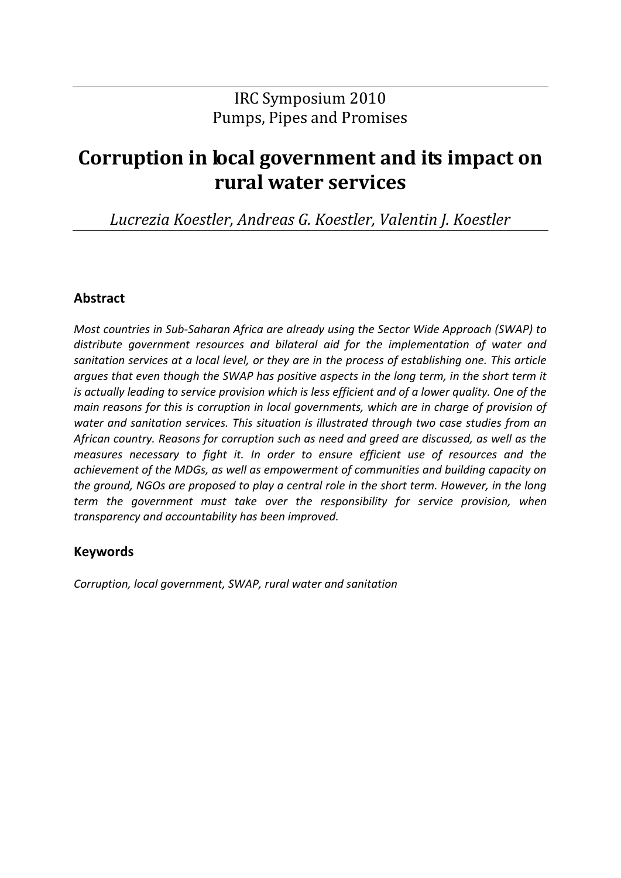### IRC Symposium 2010 Pumps, Pipes and Promises

# **Corruption in local government and its impact on rural water services**

*Lucrezia Koestler, Andreas G. Koestler, Valentin J. Koestler*

#### **Abstract**

*Most countries in Sub-Saharan Africa are already using the Sector Wide Approach (SWAP) to distribute government resources and bilateral aid for the implementation of water and sanitation services at a local level, or they are in the process of establishing one. This article argues that even though the SWAP has positive aspects in the long term, in the short term it is actually leading to service provision which is less efficient and of a lower quality. One of the main reasons for this is corruption in local governments, which are in charge of provision of water and sanitation services. This situation is illustrated through two case studies from an African country. Reasons for corruption such as need and greed are discussed, as well as the measures necessary to fight it. In order to ensure efficient use of resources and the achievement of the MDGs, as well as empowerment of communities and building capacity on the ground, NGOs are proposed to play a central role in the short term. However, in the long term the government must take over the responsibility for service provision, when transparency and accountability has been improved.*

#### **Keywords**

*Corruption, local government, SWAP, rural water and sanitation*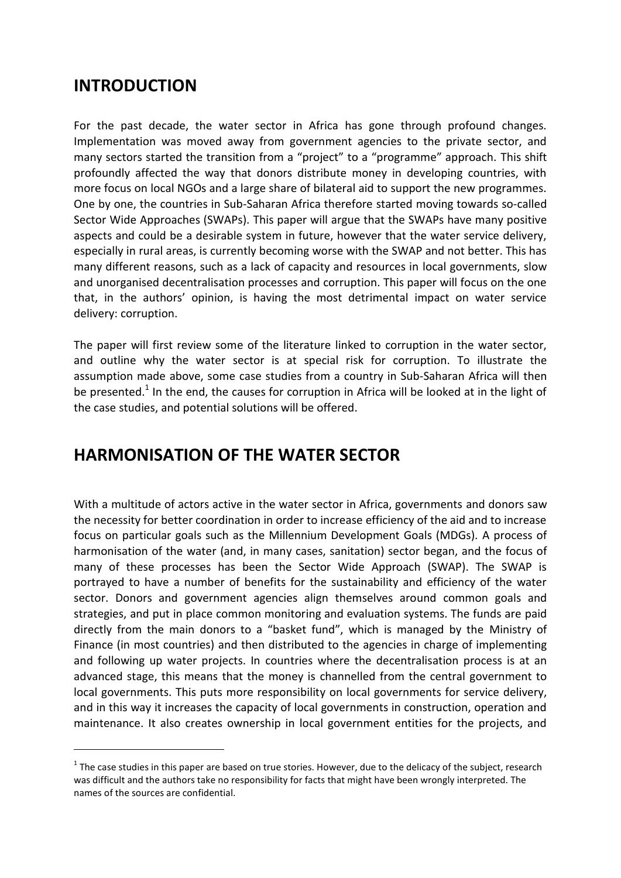### **INTRODUCTION**

<u>.</u>

For the past decade, the water sector in Africa has gone through profound changes. Implementation was moved away from government agencies to the private sector, and many sectors started the transition from a "project" to a "programme" approach. This shift profoundly affected the way that donors distribute money in developing countries, with more focus on local NGOs and a large share of bilateral aid to support the new programmes. One by one, the countries in Sub-Saharan Africa therefore started moving towards so-called Sector Wide Approaches (SWAPs). This paper will argue that the SWAPs have many positive aspects and could be a desirable system in future, however that the water service delivery, especially in rural areas, is currently becoming worse with the SWAP and not better. This has many different reasons, such as a lack of capacity and resources in local governments, slow and unorganised decentralisation processes and corruption. This paper will focus on the one that, in the authors' opinion, is having the most detrimental impact on water service delivery: corruption.

The paper will first review some of the literature linked to corruption in the water sector, and outline why the water sector is at special risk for corruption. To illustrate the assumption made above, some case studies from a country in Sub-Saharan Africa will then be presented.<sup>1</sup> In the end, the causes for corruption in Africa will be looked at in the light of the case studies, and potential solutions will be offered.

## **HARMONISATION OF THE WATER SECTOR**

With a multitude of actors active in the water sector in Africa, governments and donors saw the necessity for better coordination in order to increase efficiency of the aid and to increase focus on particular goals such as the Millennium Development Goals (MDGs). A process of harmonisation of the water (and, in many cases, sanitation) sector began, and the focus of many of these processes has been the Sector Wide Approach (SWAP). The SWAP is portrayed to have a number of benefits for the sustainability and efficiency of the water sector. Donors and government agencies align themselves around common goals and strategies, and put in place common monitoring and evaluation systems. The funds are paid directly from the main donors to a "basket fund", which is managed by the Ministry of Finance (in most countries) and then distributed to the agencies in charge of implementing and following up water projects. In countries where the decentralisation process is at an advanced stage, this means that the money is channelled from the central government to local governments. This puts more responsibility on local governments for service delivery, and in this way it increases the capacity of local governments in construction, operation and maintenance. It also creates ownership in local government entities for the projects, and

 $1$  The case studies in this paper are based on true stories. However, due to the delicacy of the subject, research was difficult and the authors take no responsibility for facts that might have been wrongly interpreted. The names of the sources are confidential.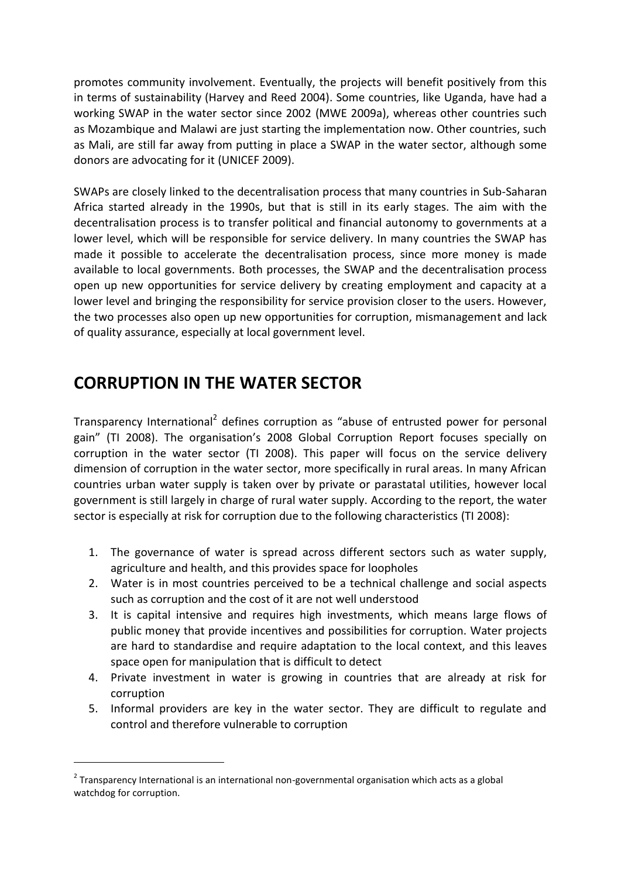promotes community involvement. Eventually, the projects will benefit positively from this in terms of sustainability (Harvey and Reed 2004). Some countries, like Uganda, have had a working SWAP in the water sector since 2002 (MWE 2009a), whereas other countries such as Mozambique and Malawi are just starting the implementation now. Other countries, such as Mali, are still far away from putting in place a SWAP in the water sector, although some donors are advocating for it (UNICEF 2009).

SWAPs are closely linked to the decentralisation process that many countries in Sub-Saharan Africa started already in the 1990s, but that is still in its early stages. The aim with the decentralisation process is to transfer political and financial autonomy to governments at a lower level, which will be responsible for service delivery. In many countries the SWAP has made it possible to accelerate the decentralisation process, since more money is made available to local governments. Both processes, the SWAP and the decentralisation process open up new opportunities for service delivery by creating employment and capacity at a lower level and bringing the responsibility for service provision closer to the users. However, the two processes also open up new opportunities for corruption, mismanagement and lack of quality assurance, especially at local government level.

## **CORRUPTION IN THE WATER SECTOR**

1

Transparency International<sup>2</sup> defines corruption as "abuse of entrusted power for personal gain" (TI 2008). The organisation's 2008 Global Corruption Report focuses specially on corruption in the water sector (TI 2008). This paper will focus on the service delivery dimension of corruption in the water sector, more specifically in rural areas. In many African countries urban water supply is taken over by private or parastatal utilities, however local government is still largely in charge of rural water supply. According to the report, the water sector is especially at risk for corruption due to the following characteristics (TI 2008):

- 1. The governance of water is spread across different sectors such as water supply, agriculture and health, and this provides space for loopholes
- 2. Water is in most countries perceived to be a technical challenge and social aspects such as corruption and the cost of it are not well understood
- 3. It is capital intensive and requires high investments, which means large flows of public money that provide incentives and possibilities for corruption. Water projects are hard to standardise and require adaptation to the local context, and this leaves space open for manipulation that is difficult to detect
- 4. Private investment in water is growing in countries that are already at risk for corruption
- 5. Informal providers are key in the water sector. They are difficult to regulate and control and therefore vulnerable to corruption

 $2$  Transparency International is an international non-governmental organisation which acts as a global watchdog for corruption.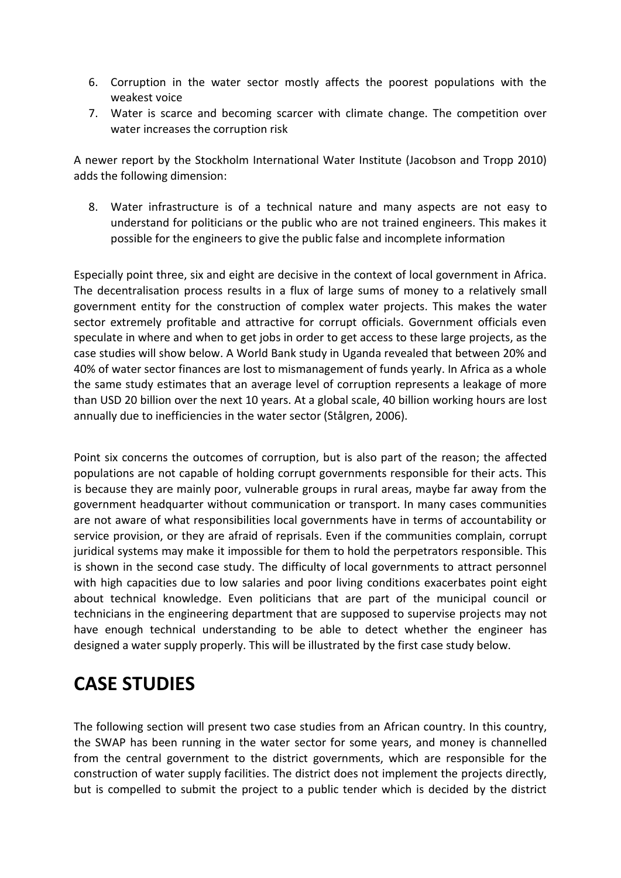- 6. Corruption in the water sector mostly affects the poorest populations with the weakest voice
- 7. Water is scarce and becoming scarcer with climate change. The competition over water increases the corruption risk

A newer report by the Stockholm International Water Institute (Jacobson and Tropp 2010) adds the following dimension:

8. Water infrastructure is of a technical nature and many aspects are not easy to understand for politicians or the public who are not trained engineers. This makes it possible for the engineers to give the public false and incomplete information

Especially point three, six and eight are decisive in the context of local government in Africa. The decentralisation process results in a flux of large sums of money to a relatively small government entity for the construction of complex water projects. This makes the water sector extremely profitable and attractive for corrupt officials. Government officials even speculate in where and when to get jobs in order to get access to these large projects, as the case studies will show below. A World Bank study in Uganda revealed that between 20% and 40% of water sector finances are lost to mismanagement of funds yearly. In Africa as a whole the same study estimates that an average level of corruption represents a leakage of more than USD 20 billion over the next 10 years. At a global scale, 40 billion working hours are lost annually due to inefficiencies in the water sector (Stålgren, 2006).

Point six concerns the outcomes of corruption, but is also part of the reason; the affected populations are not capable of holding corrupt governments responsible for their acts. This is because they are mainly poor, vulnerable groups in rural areas, maybe far away from the government headquarter without communication or transport. In many cases communities are not aware of what responsibilities local governments have in terms of accountability or service provision, or they are afraid of reprisals. Even if the communities complain, corrupt juridical systems may make it impossible for them to hold the perpetrators responsible. This is shown in the second case study. The difficulty of local governments to attract personnel with high capacities due to low salaries and poor living conditions exacerbates point eight about technical knowledge. Even politicians that are part of the municipal council or technicians in the engineering department that are supposed to supervise projects may not have enough technical understanding to be able to detect whether the engineer has designed a water supply properly. This will be illustrated by the first case study below.

# **CASE STUDIES**

The following section will present two case studies from an African country. In this country, the SWAP has been running in the water sector for some years, and money is channelled from the central government to the district governments, which are responsible for the construction of water supply facilities. The district does not implement the projects directly, but is compelled to submit the project to a public tender which is decided by the district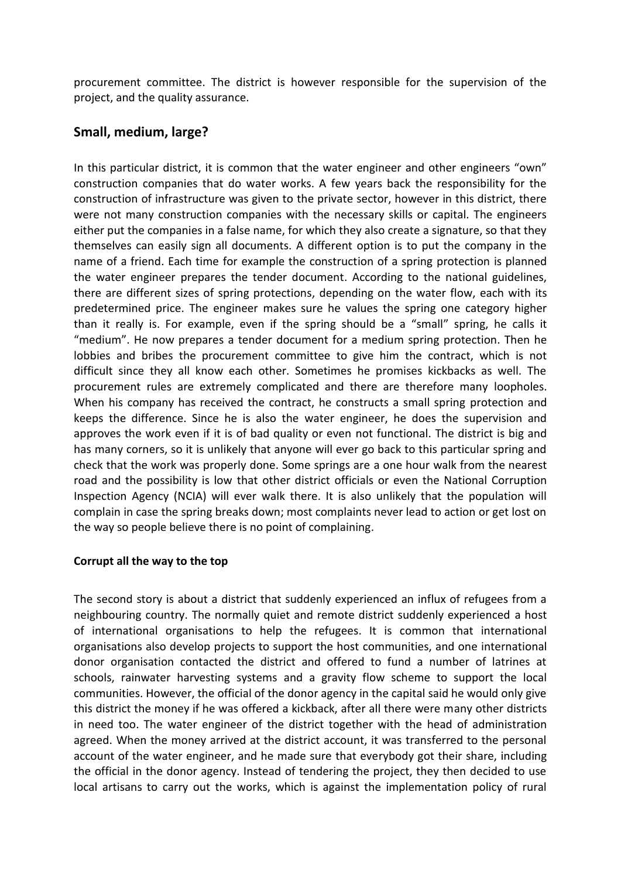procurement committee. The district is however responsible for the supervision of the project, and the quality assurance.

#### **Small, medium, large?**

In this particular district, it is common that the water engineer and other engineers "own" construction companies that do water works. A few years back the responsibility for the construction of infrastructure was given to the private sector, however in this district, there were not many construction companies with the necessary skills or capital. The engineers either put the companies in a false name, for which they also create a signature, so that they themselves can easily sign all documents. A different option is to put the company in the name of a friend. Each time for example the construction of a spring protection is planned the water engineer prepares the tender document. According to the national guidelines, there are different sizes of spring protections, depending on the water flow, each with its predetermined price. The engineer makes sure he values the spring one category higher than it really is. For example, even if the spring should be a "small" spring, he calls it "medium". He now prepares a tender document for a medium spring protection. Then he lobbies and bribes the procurement committee to give him the contract, which is not difficult since they all know each other. Sometimes he promises kickbacks as well. The procurement rules are extremely complicated and there are therefore many loopholes. When his company has received the contract, he constructs a small spring protection and keeps the difference. Since he is also the water engineer, he does the supervision and approves the work even if it is of bad quality or even not functional. The district is big and has many corners, so it is unlikely that anyone will ever go back to this particular spring and check that the work was properly done. Some springs are a one hour walk from the nearest road and the possibility is low that other district officials or even the National Corruption Inspection Agency (NCIA) will ever walk there. It is also unlikely that the population will complain in case the spring breaks down; most complaints never lead to action or get lost on the way so people believe there is no point of complaining.

#### **Corrupt all the way to the top**

The second story is about a district that suddenly experienced an influx of refugees from a neighbouring country. The normally quiet and remote district suddenly experienced a host of international organisations to help the refugees. It is common that international organisations also develop projects to support the host communities, and one international donor organisation contacted the district and offered to fund a number of latrines at schools, rainwater harvesting systems and a gravity flow scheme to support the local communities. However, the official of the donor agency in the capital said he would only give this district the money if he was offered a kickback, after all there were many other districts in need too. The water engineer of the district together with the head of administration agreed. When the money arrived at the district account, it was transferred to the personal account of the water engineer, and he made sure that everybody got their share, including the official in the donor agency. Instead of tendering the project, they then decided to use local artisans to carry out the works, which is against the implementation policy of rural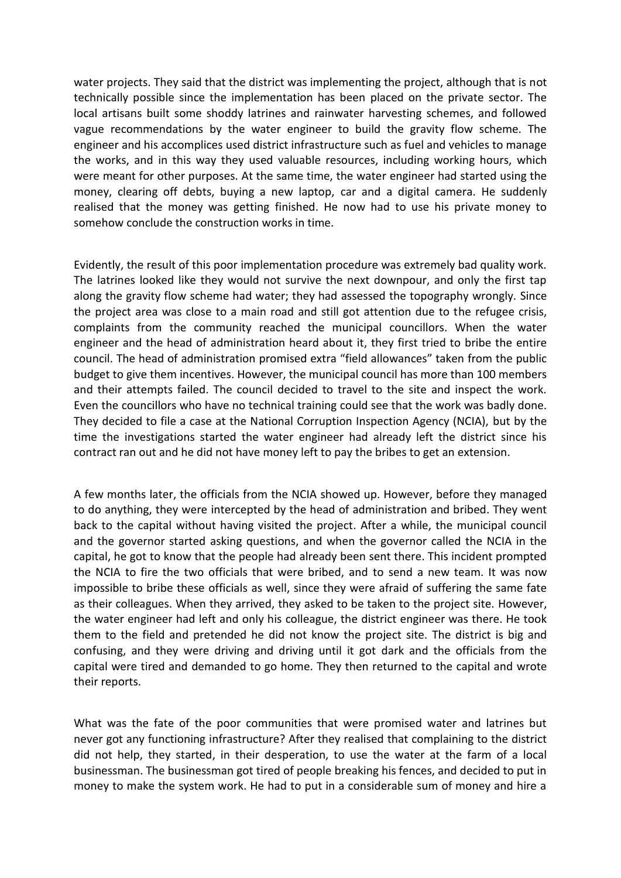water projects. They said that the district was implementing the project, although that is not technically possible since the implementation has been placed on the private sector. The local artisans built some shoddy latrines and rainwater harvesting schemes, and followed vague recommendations by the water engineer to build the gravity flow scheme. The engineer and his accomplices used district infrastructure such as fuel and vehicles to manage the works, and in this way they used valuable resources, including working hours, which were meant for other purposes. At the same time, the water engineer had started using the money, clearing off debts, buying a new laptop, car and a digital camera. He suddenly realised that the money was getting finished. He now had to use his private money to somehow conclude the construction works in time.

Evidently, the result of this poor implementation procedure was extremely bad quality work. The latrines looked like they would not survive the next downpour, and only the first tap along the gravity flow scheme had water; they had assessed the topography wrongly. Since the project area was close to a main road and still got attention due to the refugee crisis, complaints from the community reached the municipal councillors. When the water engineer and the head of administration heard about it, they first tried to bribe the entire council. The head of administration promised extra "field allowances" taken from the public budget to give them incentives. However, the municipal council has more than 100 members and their attempts failed. The council decided to travel to the site and inspect the work. Even the councillors who have no technical training could see that the work was badly done. They decided to file a case at the National Corruption Inspection Agency (NCIA), but by the time the investigations started the water engineer had already left the district since his contract ran out and he did not have money left to pay the bribes to get an extension.

A few months later, the officials from the NCIA showed up. However, before they managed to do anything, they were intercepted by the head of administration and bribed. They went back to the capital without having visited the project. After a while, the municipal council and the governor started asking questions, and when the governor called the NCIA in the capital, he got to know that the people had already been sent there. This incident prompted the NCIA to fire the two officials that were bribed, and to send a new team. It was now impossible to bribe these officials as well, since they were afraid of suffering the same fate as their colleagues. When they arrived, they asked to be taken to the project site. However, the water engineer had left and only his colleague, the district engineer was there. He took them to the field and pretended he did not know the project site. The district is big and confusing, and they were driving and driving until it got dark and the officials from the capital were tired and demanded to go home. They then returned to the capital and wrote their reports.

What was the fate of the poor communities that were promised water and latrines but never got any functioning infrastructure? After they realised that complaining to the district did not help, they started, in their desperation, to use the water at the farm of a local businessman. The businessman got tired of people breaking his fences, and decided to put in money to make the system work. He had to put in a considerable sum of money and hire a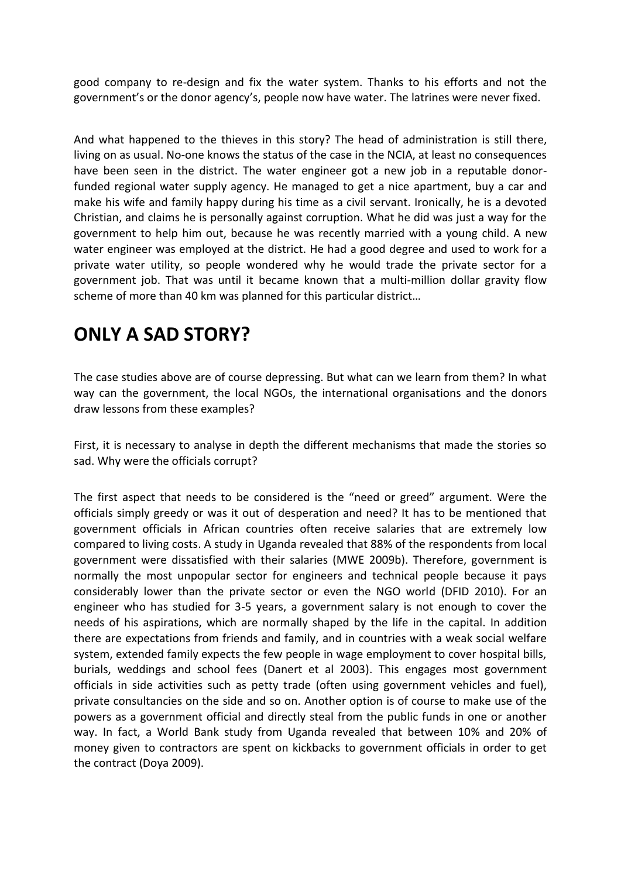good company to re-design and fix the water system. Thanks to his efforts and not the government's or the donor agency's, people now have water. The latrines were never fixed.

And what happened to the thieves in this story? The head of administration is still there, living on as usual. No-one knows the status of the case in the NCIA, at least no consequences have been seen in the district. The water engineer got a new job in a reputable donorfunded regional water supply agency. He managed to get a nice apartment, buy a car and make his wife and family happy during his time as a civil servant. Ironically, he is a devoted Christian, and claims he is personally against corruption. What he did was just a way for the government to help him out, because he was recently married with a young child. A new water engineer was employed at the district. He had a good degree and used to work for a private water utility, so people wondered why he would trade the private sector for a government job. That was until it became known that a multi-million dollar gravity flow scheme of more than 40 km was planned for this particular district…

# **ONLY A SAD STORY?**

The case studies above are of course depressing. But what can we learn from them? In what way can the government, the local NGOs, the international organisations and the donors draw lessons from these examples?

First, it is necessary to analyse in depth the different mechanisms that made the stories so sad. Why were the officials corrupt?

The first aspect that needs to be considered is the "need or greed" argument. Were the officials simply greedy or was it out of desperation and need? It has to be mentioned that government officials in African countries often receive salaries that are extremely low compared to living costs. A study in Uganda revealed that 88% of the respondents from local government were dissatisfied with their salaries (MWE 2009b). Therefore, government is normally the most unpopular sector for engineers and technical people because it pays considerably lower than the private sector or even the NGO world (DFID 2010). For an engineer who has studied for 3-5 years, a government salary is not enough to cover the needs of his aspirations, which are normally shaped by the life in the capital. In addition there are expectations from friends and family, and in countries with a weak social welfare system, extended family expects the few people in wage employment to cover hospital bills, burials, weddings and school fees (Danert et al 2003). This engages most government officials in side activities such as petty trade (often using government vehicles and fuel), private consultancies on the side and so on. Another option is of course to make use of the powers as a government official and directly steal from the public funds in one or another way. In fact, a World Bank study from Uganda revealed that between 10% and 20% of money given to contractors are spent on kickbacks to government officials in order to get the contract (Doya 2009).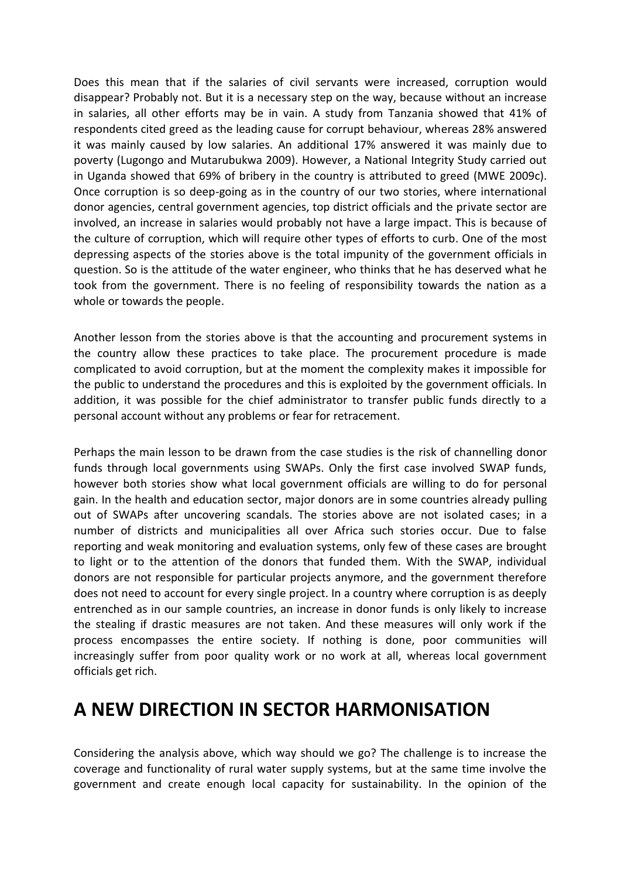Does this mean that if the salaries of civil servants were increased, corruption would disappear? Probably not. But it is a necessary step on the way, because without an increase in salaries, all other efforts may be in vain. A study from Tanzania showed that 41% of respondents cited greed as the leading cause for corrupt behaviour, whereas 28% answered it was mainly caused by low salaries. An additional 17% answered it was mainly due to poverty (Lugongo and Mutarubukwa 2009). However, a National Integrity Study carried out in Uganda showed that 69% of bribery in the country is attributed to greed (MWE 2009c). Once corruption is so deep-going as in the country of our two stories, where international donor agencies, central government agencies, top district officials and the private sector are involved, an increase in salaries would probably not have a large impact. This is because of the culture of corruption, which will require other types of efforts to curb. One of the most depressing aspects of the stories above is the total impunity of the government officials in question. So is the attitude of the water engineer, who thinks that he has deserved what he took from the government. There is no feeling of responsibility towards the nation as a whole or towards the people.

Another lesson from the stories above is that the accounting and procurement systems in the country allow these practices to take place. The procurement procedure is made complicated to avoid corruption, but at the moment the complexity makes it impossible for the public to understand the procedures and this is exploited by the government officials. In addition, it was possible for the chief administrator to transfer public funds directly to a personal account without any problems or fear for retracement.

Perhaps the main lesson to be drawn from the case studies is the risk of channelling donor funds through local governments using SWAPs. Only the first case involved SWAP funds, however both stories show what local government officials are willing to do for personal gain. In the health and education sector, major donors are in some countries already pulling out of SWAPs after uncovering scandals. The stories above are not isolated cases; in a number of districts and municipalities all over Africa such stories occur. Due to false reporting and weak monitoring and evaluation systems, only few of these cases are brought to light or to the attention of the donors that funded them. With the SWAP, individual donors are not responsible for particular projects anymore, and the government therefore does not need to account for every single project. In a country where corruption is as deeply entrenched as in our sample countries, an increase in donor funds is only likely to increase the stealing if drastic measures are not taken. And these measures will only work if the process encompasses the entire society. If nothing is done, poor communities will increasingly suffer from poor quality work or no work at all, whereas local government officials get rich.

## **A NEW DIRECTION IN SECTOR HARMONISATION**

Considering the analysis above, which way should we go? The challenge is to increase the coverage and functionality of rural water supply systems, but at the same time involve the government and create enough local capacity for sustainability. In the opinion of the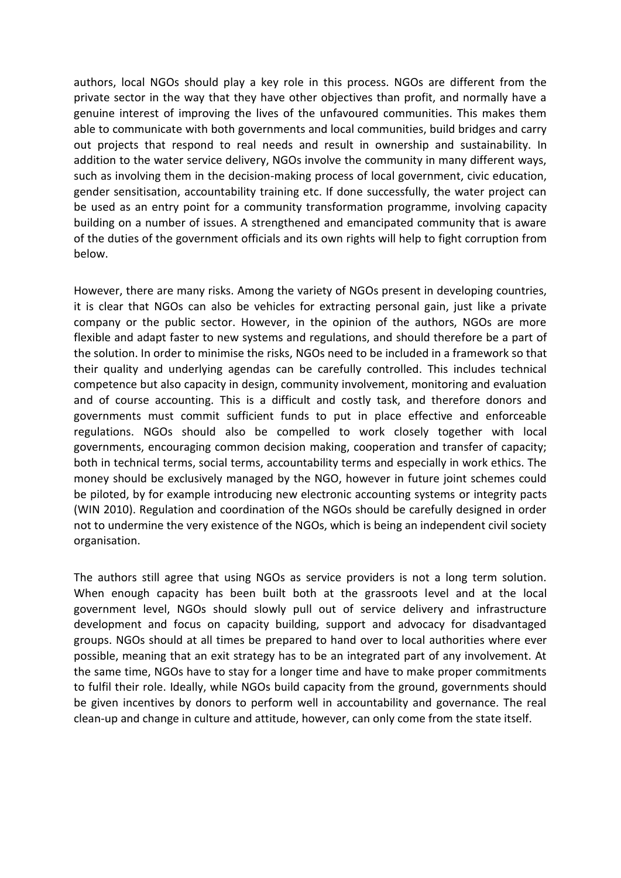authors, local NGOs should play a key role in this process. NGOs are different from the private sector in the way that they have other objectives than profit, and normally have a genuine interest of improving the lives of the unfavoured communities. This makes them able to communicate with both governments and local communities, build bridges and carry out projects that respond to real needs and result in ownership and sustainability. In addition to the water service delivery, NGOs involve the community in many different ways, such as involving them in the decision-making process of local government, civic education, gender sensitisation, accountability training etc. If done successfully, the water project can be used as an entry point for a community transformation programme, involving capacity building on a number of issues. A strengthened and emancipated community that is aware of the duties of the government officials and its own rights will help to fight corruption from below.

However, there are many risks. Among the variety of NGOs present in developing countries, it is clear that NGOs can also be vehicles for extracting personal gain, just like a private company or the public sector. However, in the opinion of the authors, NGOs are more flexible and adapt faster to new systems and regulations, and should therefore be a part of the solution. In order to minimise the risks, NGOs need to be included in a framework so that their quality and underlying agendas can be carefully controlled. This includes technical competence but also capacity in design, community involvement, monitoring and evaluation and of course accounting. This is a difficult and costly task, and therefore donors and governments must commit sufficient funds to put in place effective and enforceable regulations. NGOs should also be compelled to work closely together with local governments, encouraging common decision making, cooperation and transfer of capacity; both in technical terms, social terms, accountability terms and especially in work ethics. The money should be exclusively managed by the NGO, however in future joint schemes could be piloted, by for example introducing new electronic accounting systems or integrity pacts (WIN 2010). Regulation and coordination of the NGOs should be carefully designed in order not to undermine the very existence of the NGOs, which is being an independent civil society organisation.

The authors still agree that using NGOs as service providers is not a long term solution. When enough capacity has been built both at the grassroots level and at the local government level, NGOs should slowly pull out of service delivery and infrastructure development and focus on capacity building, support and advocacy for disadvantaged groups. NGOs should at all times be prepared to hand over to local authorities where ever possible, meaning that an exit strategy has to be an integrated part of any involvement. At the same time, NGOs have to stay for a longer time and have to make proper commitments to fulfil their role. Ideally, while NGOs build capacity from the ground, governments should be given incentives by donors to perform well in accountability and governance. The real clean-up and change in culture and attitude, however, can only come from the state itself.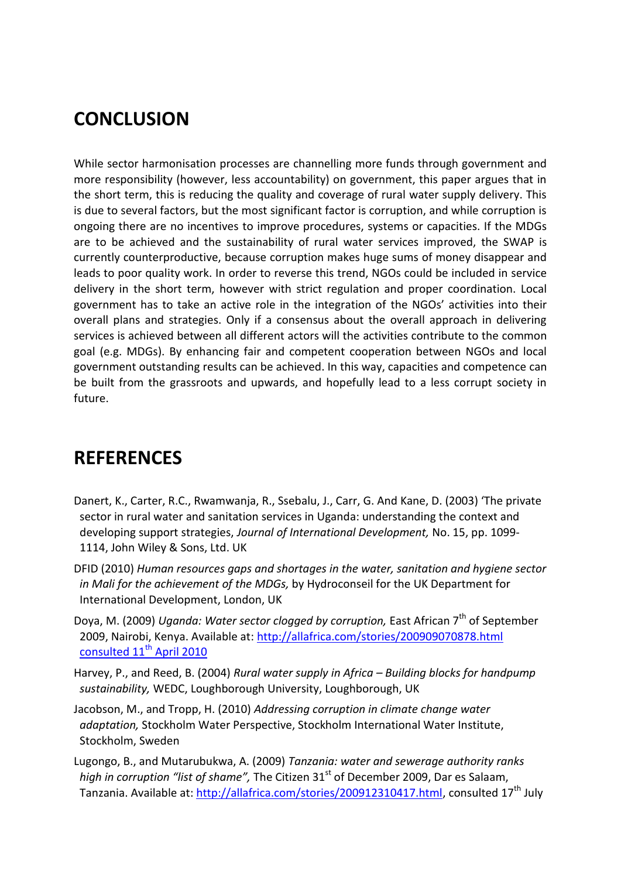## **CONCLUSION**

While sector harmonisation processes are channelling more funds through government and more responsibility (however, less accountability) on government, this paper argues that in the short term, this is reducing the quality and coverage of rural water supply delivery. This is due to several factors, but the most significant factor is corruption, and while corruption is ongoing there are no incentives to improve procedures, systems or capacities. If the MDGs are to be achieved and the sustainability of rural water services improved, the SWAP is currently counterproductive, because corruption makes huge sums of money disappear and leads to poor quality work. In order to reverse this trend, NGOs could be included in service delivery in the short term, however with strict regulation and proper coordination. Local government has to take an active role in the integration of the NGOs' activities into their overall plans and strategies. Only if a consensus about the overall approach in delivering services is achieved between all different actors will the activities contribute to the common goal (e.g. MDGs). By enhancing fair and competent cooperation between NGOs and local government outstanding results can be achieved. In this way, capacities and competence can be built from the grassroots and upwards, and hopefully lead to a less corrupt society in future.

## **REFERENCES**

- Danert, K., Carter, R.C., Rwamwanja, R., Ssebalu, J., Carr, G. And Kane, D. (2003) 'The private sector in rural water and sanitation services in Uganda: understanding the context and developing support strategies, *Journal of International Development,* No. 15, pp. 1099- 1114, John Wiley & Sons, Ltd. UK
- DFID (2010) *Human resources gaps and shortages in the water, sanitation and hygiene sector in Mali for the achievement of the MDGs,* by Hydroconseil for the UK Department for International Development, London, UK
- Doya, M. (2009) *Uganda: Water sector clogged by corruption,* East African 7th of September 2009, Nairobi, Kenya. Available at: [http://allafrica.com/stories/200909070878.html](http://allafrica.com/stories/200909070878.html%20consulted%2011th%20April%202010)  [consulted 11](http://allafrica.com/stories/200909070878.html%20consulted%2011th%20April%202010)<sup>th</sup> April 2010
- Harvey, P., and Reed, B. (2004) *Rural water supply in Africa – Building blocks for handpump sustainability,* WEDC, Loughborough University, Loughborough, UK
- Jacobson, M., and Tropp, H. (2010) *Addressing corruption in climate change water adaptation,* Stockholm Water Perspective, Stockholm International Water Institute, Stockholm, Sweden
- Lugongo, B., and Mutarubukwa, A. (2009) *Tanzania: water and sewerage authority ranks high in corruption "list of shame"*, The Citizen 31<sup>st</sup> of December 2009, Dar es Salaam, Tanzania. Available at: [http://allafrica.com/stories/200912310417.html,](http://allafrica.com/stories/200912310417.html) consulted 17<sup>th</sup> July